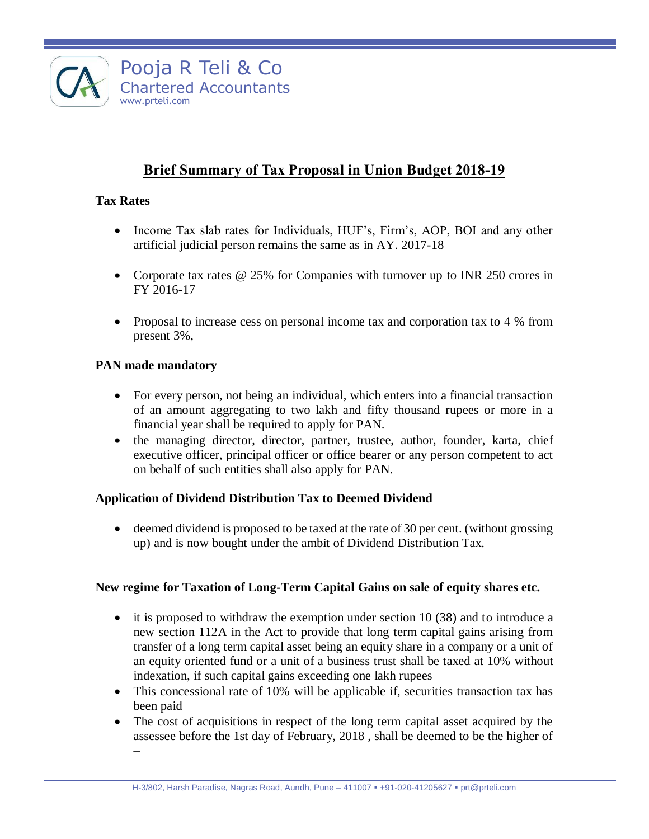

# **Brief Summary of Tax Proposal in Union Budget 2018-19**

# **Tax Rates**

- Income Tax slab rates for Individuals, HUF's, Firm's, AOP, BOI and any other artificial judicial person remains the same as in AY. 2017-18
- Corporate tax rates @ 25% for Companies with turnover up to INR 250 crores in FY 2016-17
- Proposal to increase cess on personal income tax and corporation tax to 4 % from present 3%,

### **PAN made mandatory**

- For every person, not being an individual, which enters into a financial transaction of an amount aggregating to two lakh and fifty thousand rupees or more in a financial year shall be required to apply for PAN.
- the managing director, director, partner, trustee, author, founder, karta, chief executive officer, principal officer or office bearer or any person competent to act on behalf of such entities shall also apply for PAN.

# **Application of Dividend Distribution Tax to Deemed Dividend**

 deemed dividend is proposed to be taxed at the rate of 30 per cent. (without grossing up) and is now bought under the ambit of Dividend Distribution Tax.

#### **New regime for Taxation of Long-Term Capital Gains on sale of equity shares etc.**

- $\bullet$  it is proposed to withdraw the exemption under section 10 (38) and to introduce a new section 112A in the Act to provide that long term capital gains arising from transfer of a long term capital asset being an equity share in a company or a unit of an equity oriented fund or a unit of a business trust shall be taxed at 10% without indexation, if such capital gains exceeding one lakh rupees
- This concessional rate of 10% will be applicable if, securities transaction tax has been paid
- The cost of acquisitions in respect of the long term capital asset acquired by the assessee before the 1st day of February, 2018 , shall be deemed to be the higher of –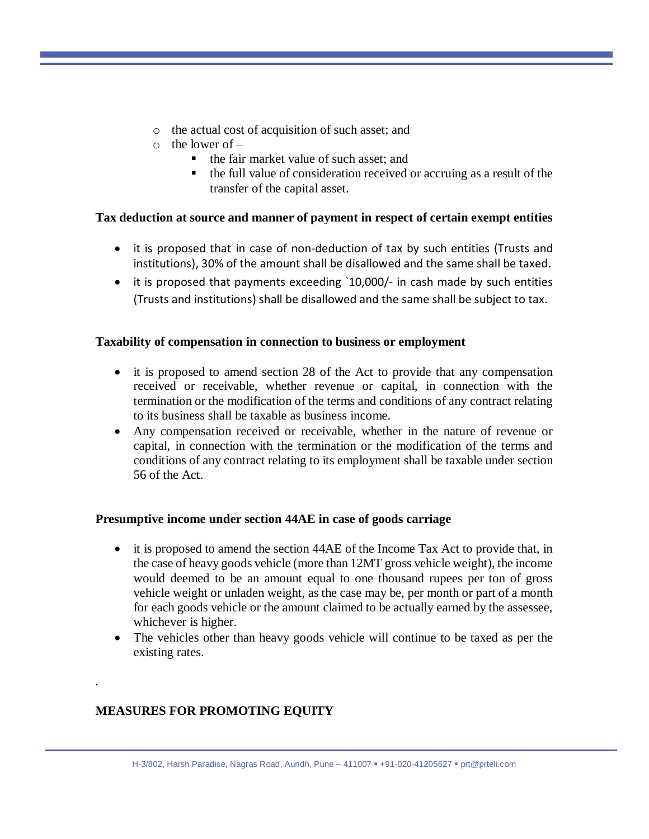- o the actual cost of acquisition of such asset; and
- $\circ$  the lower of
	- $\blacksquare$  the fair market value of such asset; and
	- the full value of consideration received or accruing as a result of the transfer of the capital asset.

### **Tax deduction at source and manner of payment in respect of certain exempt entities**

- it is proposed that in case of non-deduction of tax by such entities (Trusts and institutions), 30% of the amount shall be disallowed and the same shall be taxed.
- it is proposed that payments exceeding `10,000/- in cash made by such entities (Trusts and institutions) shall be disallowed and the same shall be subject to tax.

### **Taxability of compensation in connection to business or employment**

- it is proposed to amend section 28 of the Act to provide that any compensation received or receivable, whether revenue or capital, in connection with the termination or the modification of the terms and conditions of any contract relating to its business shall be taxable as business income.
- Any compensation received or receivable, whether in the nature of revenue or capital, in connection with the termination or the modification of the terms and conditions of any contract relating to its employment shall be taxable under section 56 of the Act.

# **Presumptive income under section 44AE in case of goods carriage**

- it is proposed to amend the section 44AE of the Income Tax Act to provide that, in the case of heavy goods vehicle (more than 12MT gross vehicle weight), the income would deemed to be an amount equal to one thousand rupees per ton of gross vehicle weight or unladen weight, as the case may be, per month or part of a month for each goods vehicle or the amount claimed to be actually earned by the assessee, whichever is higher.
- The vehicles other than heavy goods vehicle will continue to be taxed as per the existing rates.

# **MEASURES FOR PROMOTING EQUITY**

*.*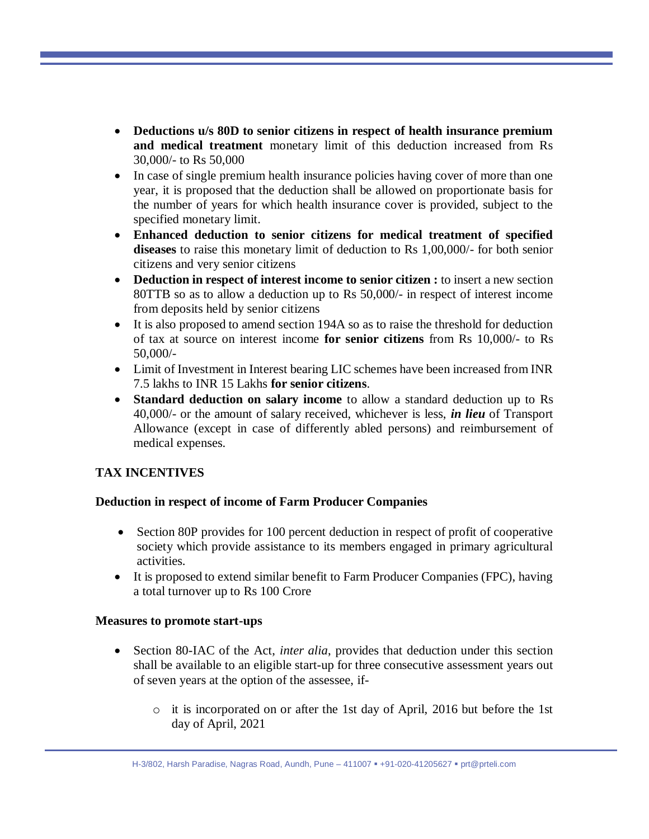- **Deductions u/s 80D to senior citizens in respect of health insurance premium and medical treatment** monetary limit of this deduction increased from Rs 30,000/- to Rs 50,000
- In case of single premium health insurance policies having cover of more than one year, it is proposed that the deduction shall be allowed on proportionate basis for the number of years for which health insurance cover is provided, subject to the specified monetary limit.
- **Enhanced deduction to senior citizens for medical treatment of specified diseases** to raise this monetary limit of deduction to Rs 1,00,000/- for both senior citizens and very senior citizens
- **Deduction in respect of interest income to senior citizen :** to insert a new section 80TTB so as to allow a deduction up to Rs 50,000/- in respect of interest income from deposits held by senior citizens
- It is also proposed to amend section 194A so as to raise the threshold for deduction of tax at source on interest income **for senior citizens** from Rs 10,000/- to Rs 50,000/-
- Limit of Investment in Interest bearing LIC schemes have been increased from INR 7.5 lakhs to INR 15 Lakhs **for senior citizens**.
- **Standard deduction on salary income** to allow a standard deduction up to Rs 40,000/- or the amount of salary received, whichever is less, *in lieu* of Transport Allowance (except in case of differently abled persons) and reimbursement of medical expenses.

# **TAX INCENTIVES**

# **Deduction in respect of income of Farm Producer Companies**

- Section 80P provides for 100 percent deduction in respect of profit of cooperative society which provide assistance to its members engaged in primary agricultural activities.
- It is proposed to extend similar benefit to Farm Producer Companies (FPC), having a total turnover up to Rs 100 Crore

#### **Measures to promote start-ups**

- Section 80-IAC of the Act, *inter alia*, provides that deduction under this section shall be available to an eligible start-up for three consecutive assessment years out of seven years at the option of the assessee, if
	- o it is incorporated on or after the 1st day of April, 2016 but before the 1st day of April, 2021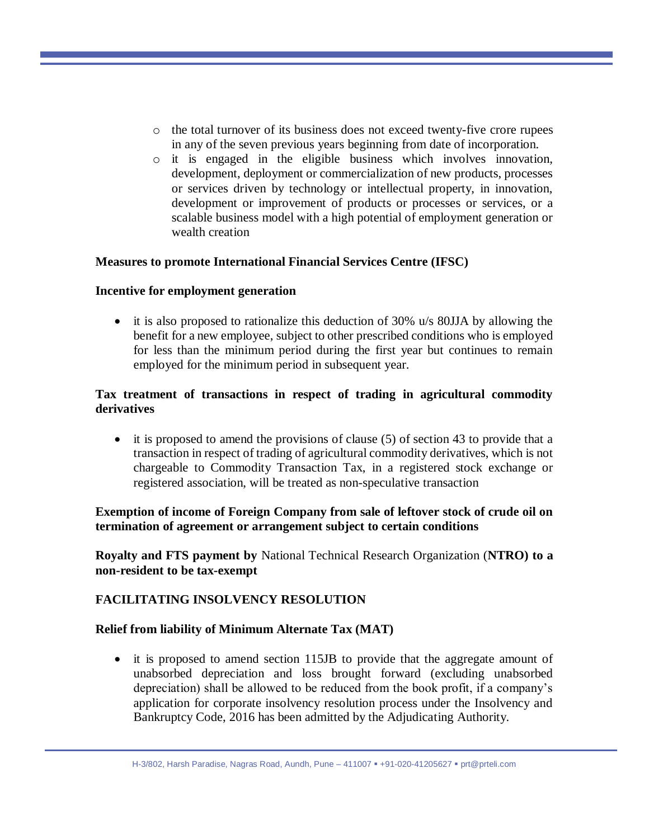- o the total turnover of its business does not exceed twenty-five crore rupees in any of the seven previous years beginning from date of incorporation.
- o it is engaged in the eligible business which involves innovation, development, deployment or commercialization of new products, processes or services driven by technology or intellectual property, in innovation, development or improvement of products or processes or services, or a scalable business model with a high potential of employment generation or wealth creation

#### **Measures to promote International Financial Services Centre (IFSC)**

#### **Incentive for employment generation**

 it is also proposed to rationalize this deduction of 30% u/s 80JJA by allowing the benefit for a new employee, subject to other prescribed conditions who is employed for less than the minimum period during the first year but continues to remain employed for the minimum period in subsequent year.

### **Tax treatment of transactions in respect of trading in agricultural commodity derivatives**

 $\bullet$  it is proposed to amend the provisions of clause (5) of section 43 to provide that a transaction in respect of trading of agricultural commodity derivatives, which is not chargeable to Commodity Transaction Tax, in a registered stock exchange or registered association, will be treated as non-speculative transaction

#### **Exemption of income of Foreign Company from sale of leftover stock of crude oil on termination of agreement or arrangement subject to certain conditions**

**Royalty and FTS payment by** National Technical Research Organization (**NTRO) to a non-resident to be tax-exempt**

#### **FACILITATING INSOLVENCY RESOLUTION**

#### **Relief from liability of Minimum Alternate Tax (MAT)**

• it is proposed to amend section 115JB to provide that the aggregate amount of unabsorbed depreciation and loss brought forward (excluding unabsorbed depreciation) shall be allowed to be reduced from the book profit, if a company's application for corporate insolvency resolution process under the Insolvency and Bankruptcy Code, 2016 has been admitted by the Adjudicating Authority.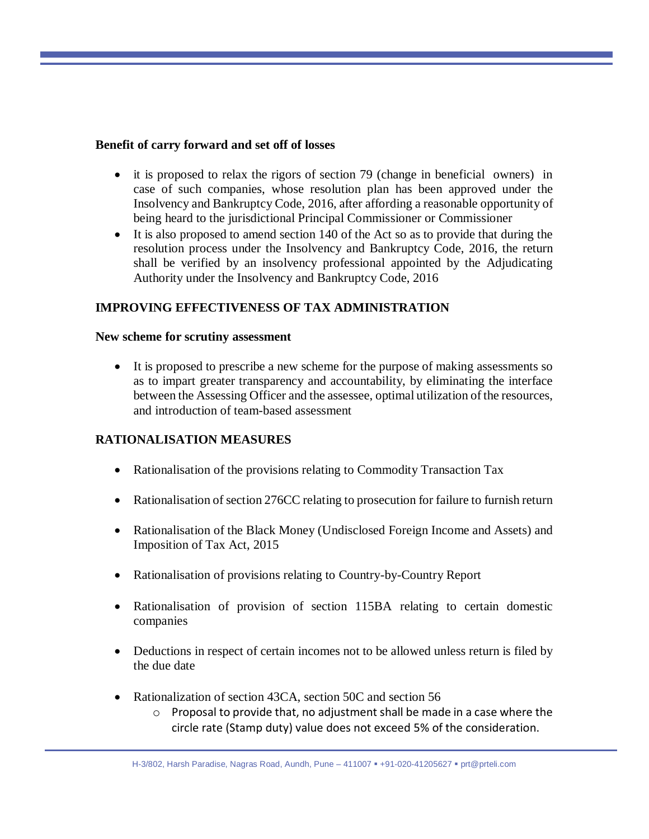#### **Benefit of carry forward and set off of losses**

- it is proposed to relax the rigors of section 79 (change in beneficial owners) in case of such companies, whose resolution plan has been approved under the Insolvency and Bankruptcy Code, 2016, after affording a reasonable opportunity of being heard to the jurisdictional Principal Commissioner or Commissioner
- It is also proposed to amend section 140 of the Act so as to provide that during the resolution process under the Insolvency and Bankruptcy Code, 2016, the return shall be verified by an insolvency professional appointed by the Adjudicating Authority under the Insolvency and Bankruptcy Code, 2016

# **IMPROVING EFFECTIVENESS OF TAX ADMINISTRATION**

#### **New scheme for scrutiny assessment**

 It is proposed to prescribe a new scheme for the purpose of making assessments so as to impart greater transparency and accountability, by eliminating the interface between the Assessing Officer and the assessee, optimal utilization of the resources, and introduction of team-based assessment

# **RATIONALISATION MEASURES**

- Rationalisation of the provisions relating to Commodity Transaction Tax
- Rationalisation of section 276CC relating to prosecution for failure to furnish return
- Rationalisation of the Black Money (Undisclosed Foreign Income and Assets) and Imposition of Tax Act, 2015
- Rationalisation of provisions relating to Country-by-Country Report
- Rationalisation of provision of section 115BA relating to certain domestic companies
- Deductions in respect of certain incomes not to be allowed unless return is filed by the due date
- Rationalization of section 43CA, section 50C and section 56
	- $\circ$  Proposal to provide that, no adjustment shall be made in a case where the circle rate (Stamp duty) value does not exceed 5% of the consideration.